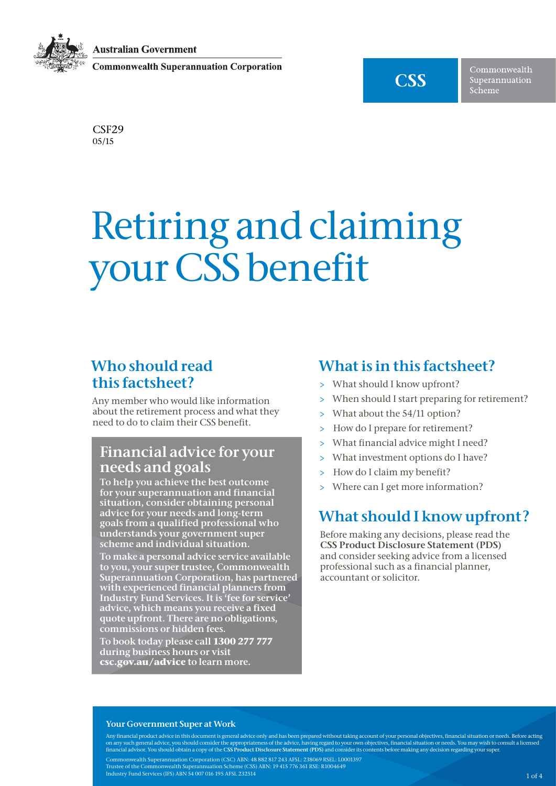**Australian Government** 

**Commonwealth Superannuation Corporation** 



Commonwealth Superannuation Scheme

CSF29 05/15

# Retiring and claiming your CSS benefit

## Who should read this factsheet?

Any member who would like information about the retirement process and what they need to do to claim their CSS benefit.

## Financial advice for your needs and goals

To help you achieve the best outcome for your superannuation and financial situation, consider obtaining personal advice for your needs and long-term goals from a qualified professional who understands your government super scheme and individual situation.

To make a personal advice service available to you, your super trustee, Commonwealth Superannuation Corporation, has partnered with experienced financial planners from Industry Fund Services. It is 'fee for service' advice, which means you receive a fixed quote upfront. There are no obligations, commissions or hidden fees.

To book today please call **1300 277 777** during business hours or visit **csc.gov.au/advice** to learn more.

# What is in this factsheet?

- > What should I know upfront?
- > When should I start preparing for retirement?
- > What about the 54/11 option?
- > How do I prepare for retirement?
- > What financial advice might I need?
- > What investment options do I have?
- > How do I claim my benefit?
- > Where can I get more information?

# What should I know upfront?

Before making any decisions, please read the [CSS Product Disclosure Statement](http://www.css.gov.au/documents/publications/index.shtml) (PDS) and consider seeking advice from a licensed professional such as a financial planner, accountant or solicitor.

#### Your Government Super at Work

Any financial product advice in this document is general advice only and has been prepared without taking account of your personal objectives, financial situation or needs. Before acting on any such general advice, you should consider the appropriateness of the advice, having regard to your own objectives, financial situation or needs. You may wish to consult a licensed<br>financial advisor. You should obtain Commonwealth Superannuation Corporation (CSC) ABN: 48 882 817 243 AFSL: 238069 RSEL: L0001397 Trustee of the Commonwealth Superannuation Scheme (CSS) ABN: 19 415 776 361 RSE: R1004649 Industry Fund Services (IFS) ABN 54 007 016 195 AFSL 232514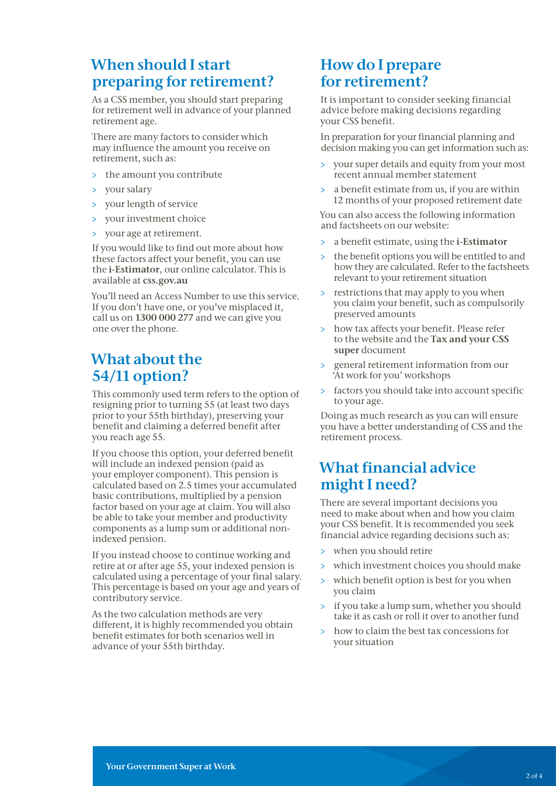## When should I start preparing for retirement?

As a CSS member, you should start preparing for retirement well in advance of your planned retirement age.

There are many factors to consider which may influence the amount you receive on retirement, such as:

- > the amount you contribute
- > your salary
- your length of service
- > your investment choice
- > your age at retirement.

If you would like to find out more about how these factors affect your benefit, you can use the i-Estimator, our online calculator. This is available at [css.gov.au](http://www.css.gov.au)

You'll need an Access Number to use this service. If you don't have one, or you've misplaced it, call us on 1300 000 277 and we can give you one over the phone.

# What about the 54/11 option?

This commonly used term refers to the option of resigning prior to turning 55 (at least two days prior to your 55th birthday), preserving your benefit and claiming a deferred benefit after you reach age 55.

If you choose this option, your deferred benefit will include an indexed pension (paid as your employer component). This pension is calculated based on 2.5 times your accumulated basic contributions, multiplied by a pension factor based on your age at claim. You will also be able to take your member and productivity components as a lump sum or additional nonindexed pension.

If you instead choose to continue working and retire at or after age 55, your indexed pension is calculated using a percentage of your final salary. This percentage is based on your age and years of contributory service.

As the two calculation methods are very different, it is highly recommended you obtain benefit estimates for both scenarios well in advance of your 55th birthday.

## How do I prepare for retirement?

It is important to consider seeking financial advice before making decisions regarding your CSS benefit.

In preparation for your financial planning and decision making you can get information such as:

- > your super details and equity from your most recent annual member statement
- > a benefit estimate from us, if you are within 12 months of your proposed retirement date

You can also access the following information and factsheets on our website:

- > a benefit estimate, using the [i-Estimator](http://www.css.gov.au/tools/mso/i-estimator.shtml)
- > the benefit options you will be entitled to and how they are calculated. Refer to the factsheets relevant to your retirement situation
- > restrictions that may apply to you when you claim your benefit, such as compulsorily preserved amounts
- > how tax affects your benefit. Please refer to the website and the Tax and your CSS super document
- > general retirement information from our 'At work for you' workshops
- > factors you should take into account specific to your age.

Doing as much research as you can will ensure you have a better understanding of CSS and the retirement process.

# What financial advice might I need?

There are several important decisions you need to make about when and how you claim your CSS benefit. It is recommended you seek financial advice regarding decisions such as:

- > when you should retire
- > which investment choices you should make
- > which benefit option is best for you when you claim
- > if you take a lump sum, whether you should take it as cash or roll it over to another fund
- how to claim the best tax concessions for your situation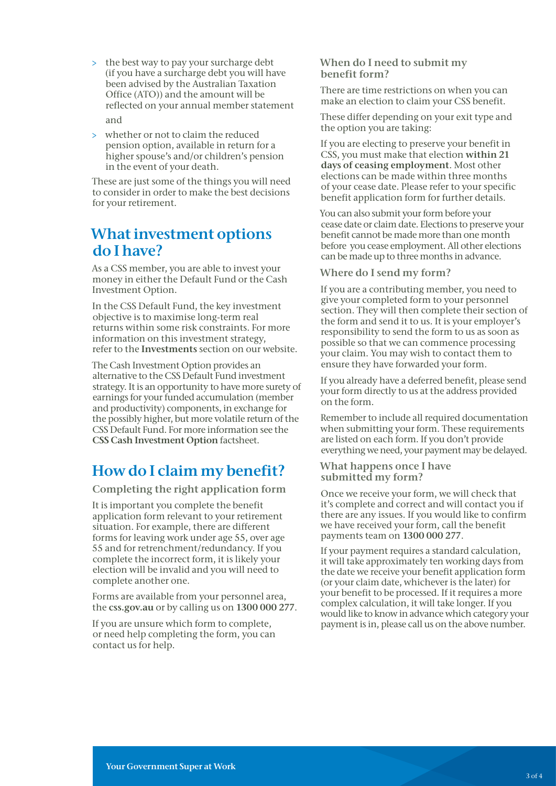- > the best way to pay your surcharge debt (if you have a surcharge debt you will have been advised by the Australian Taxation Office (ATO)) and the amount will be reflected on your annual member statement and
- > whether or not to claim the reduced pension option, available in return for a higher spouse's and/or children's pension in the event of your death.

These are just some of the things you will need to consider in order to make the best decisions for your retirement.

#### What investment options do I have?

As a CSS member, you are able to invest your money in either the Default Fund or the Cash Investment Option.

In the CSS Default Fund, the key investment objective is to maximise long-term real returns within some risk constraints. For more information on this investment strategy, refer to the [Investments](http://www.css.gov.au/tools/investments/index.shtml) section on our website.

The Cash Investment Option provides an alternative to the CSS Default Fund investment strategy. It is an opportunity to have more surety of earnings for your funded accumulation (member and productivity) components, in exchange for the possibly higher, but more volatile return of the CSS Default Fund. For more information see the [CSS Cash Investment Option](http://www.css.gov.au/documents/factsheets/index.shtml) factsheet.

# How do I claim my benefit?

Completing the right application form

It is important you complete the benefit application form relevant to your retirement situation. For example, there are different forms for leaving work under age 55, over age 55 and for retrenchment/redundancy. If you complete the incorrect form, it is likely your election will be invalid and you will need to complete another one.

Forms are available from your personnel area, the [css.gov.au](http://css.gov.au) or by calling us on 1300 000 277.

If you are unsure which form to complete, or need help completing the form, you can contact us for help.

#### When do I need to submit my benefit form?

There are time restrictions on when you can make an election to claim your CSS benefit.

These differ depending on your exit type and the option you are taking:

If you are electing to preserve your benefit in CSS, you must make that election within 21 days of ceasing employment. Most other elections can be made within three months of your cease date. Please refer to your specific benefit application form for further details.

You can also submit your form before your cease date or claim date. Elections to preserve your benefit cannot be made more than one month before you cease employment. All other elections can be made up to three months in advance.

#### Where do I send my form?

If you are a contributing member, you need to give your completed form to your personnel section. They will then complete their section of the form and send it to us. It is your employer's responsibility to send the form to us as soon as possible so that we can commence processing your claim. You may wish to contact them to ensure they have forwarded your form.

If you already have a deferred benefit, please send your form directly to us at the address provided on the form.

Remember to include all required documentation when submitting your form. These requirements are listed on each form. If you don't provide everything we need, your payment may be delayed.

#### What happens once I have submitted my form?

Once we receive your form, we will check that it's complete and correct and will contact you if there are any issues. If you would like to confirm we have received your form, call the benefit payments team on 1300 000 277.

If your payment requires a standard calculation, it will take approximately ten working days from the date we receive your benefit application form (or your claim date, whichever is the later) for your benefit to be processed. If it requires a more complex calculation, it will take longer. If you would like to know in advance which category your payment is in, please call us on the above number.